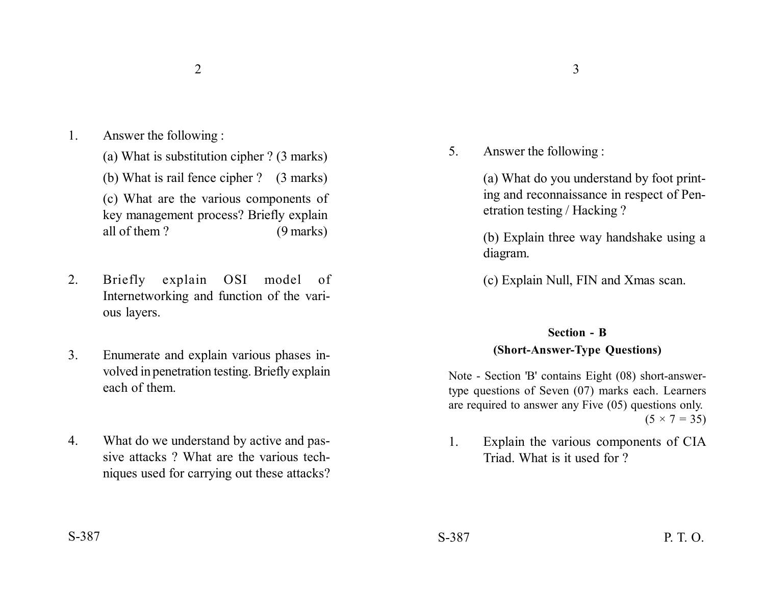- 1. Answer the following :
	- (a) What is substitution cipher ? (3 marks)
	- (b) What is rail fence cipher ? (3 marks)

(c) What are the various components of key management process? Briefly explain all of them ? (9 marks)

- 2. Briefly explain OSI model of Internetworking and function of the various layers.
- 3. Enumerate and explain various phases involved in penetration testing. Briefly explain each of them.
- 4. What do we understand by active and passive attacks ? What are the various techniques used for carrying out these attacks?

5. Answer the following :

(a) What do you understand by foot printing and reconnaissance in respect of Penetration testing / Hacking ?

(b) Explain three way handshake using a diagram.

(c) Explain Null, FIN and Xmas scan.

## **Section - B**

## **(Short-Answer-Type Questions)**

Note - Section 'B' contains Eight (08) short-answertype questions of Seven (07) marks each. Learners are required to answer any Five (05) questions only.  $(5 \times 7 = 35)$ 

1. Explain the various components of CIA Triad. What is it used for ?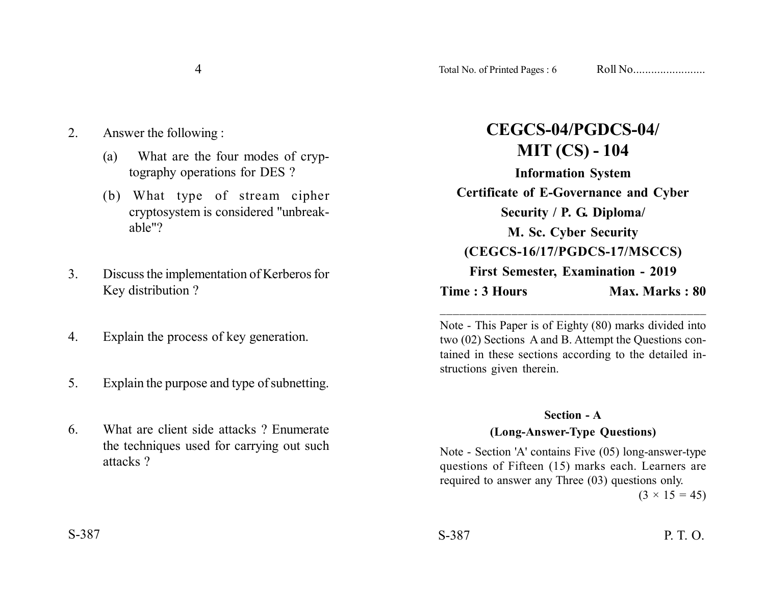- 4
- 2. Answer the following :
	- (a) What are the four modes of cryptography operations for DES ?
	- (b) What type of stream cipher cryptosystem is considered "unbreakable"?
- 3. Discuss the implementation of Kerberos for Key distribution ?
- 4. Explain the process of key generation.
- 5. Explain the purpose and type of subnetting.
- 6. What are client side attacks ? Enumerate the techniques used for carrying out such attacks ?

| CEGCS-04/PGDCS-04/                        |                       |
|-------------------------------------------|-----------------------|
| <b>MIT (CS) - 104</b>                     |                       |
| <b>Information System</b>                 |                       |
| Certificate of E-Governance and Cyber     |                       |
| Security / P. G. Diploma/                 |                       |
| M. Sc. Cyber Security                     |                       |
| (CEGCS-16/17/PGDCS-17/MSCCS)              |                       |
| <b>First Semester, Examination - 2019</b> |                       |
| Time : 3 Hours                            | <b>Max. Marks: 80</b> |
|                                           |                       |

Note - This Paper is of Eighty (80) marks divided into two (02) Sections A and B. Attempt the Questions contained in these sections according to the detailed instructions given therein.

\_\_\_\_\_\_\_\_\_\_\_\_\_\_\_\_\_\_\_\_\_\_\_\_\_\_\_\_\_\_\_\_\_\_\_\_\_\_\_\_\_

## **Section - A**

## **(Long-Answer-Type Questions)**

Note - Section 'A' contains Five (05) long-answer-type questions of Fifteen (15) marks each. Learners are required to answer any Three (03) questions only.

 $(3 \times 15 = 45)$